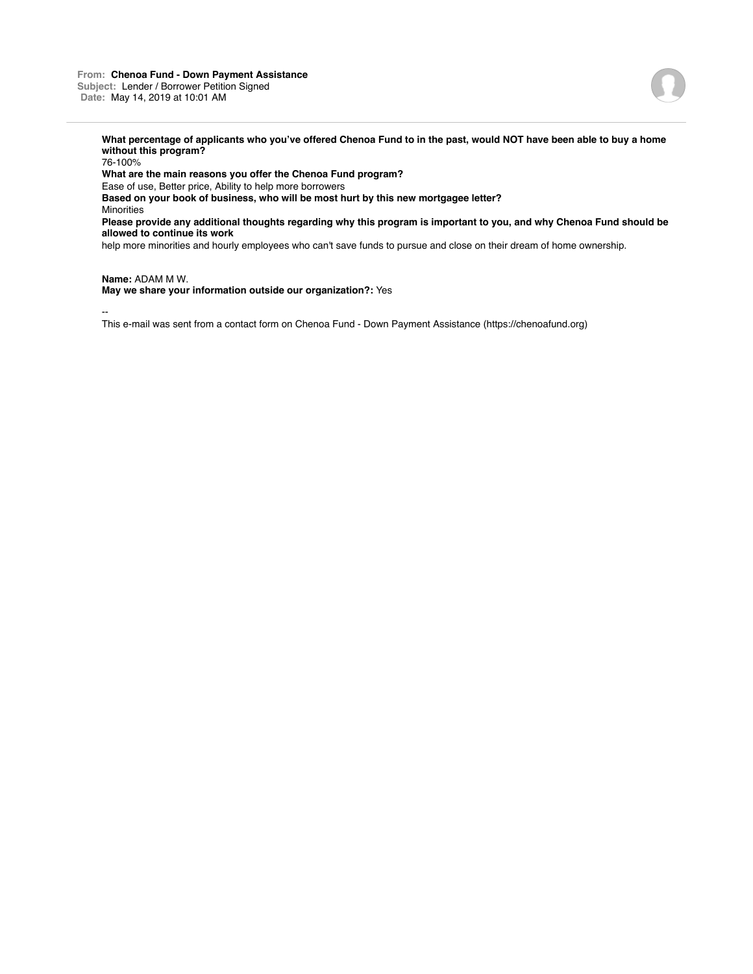### **From: Chenoa Fund - Down Payment Assistance Subject:** Lender / Borrower Petition Signed **Date:** May 14, 2019 at 10:01 AM



**What percentage of applicants who you've offered Chenoa Fund to in the past, would NOT have been able to buy a home without this program?**

76-100% **What are the main reasons you offer the Chenoa Fund program?** Ease of use, Better price, Ability to help more borrowers **Based on your book of business, who will be most hurt by this new mortgagee letter? Minorities Please provide any additional thoughts regarding why this program is important to you, and why Chenoa Fund should be allowed to continue its work**

help more minorities and hourly employees who can't save funds to pursue and close on their dream of home ownership.

**Name:** ADAM M W. **May we share your information outside our organization?:** Yes

--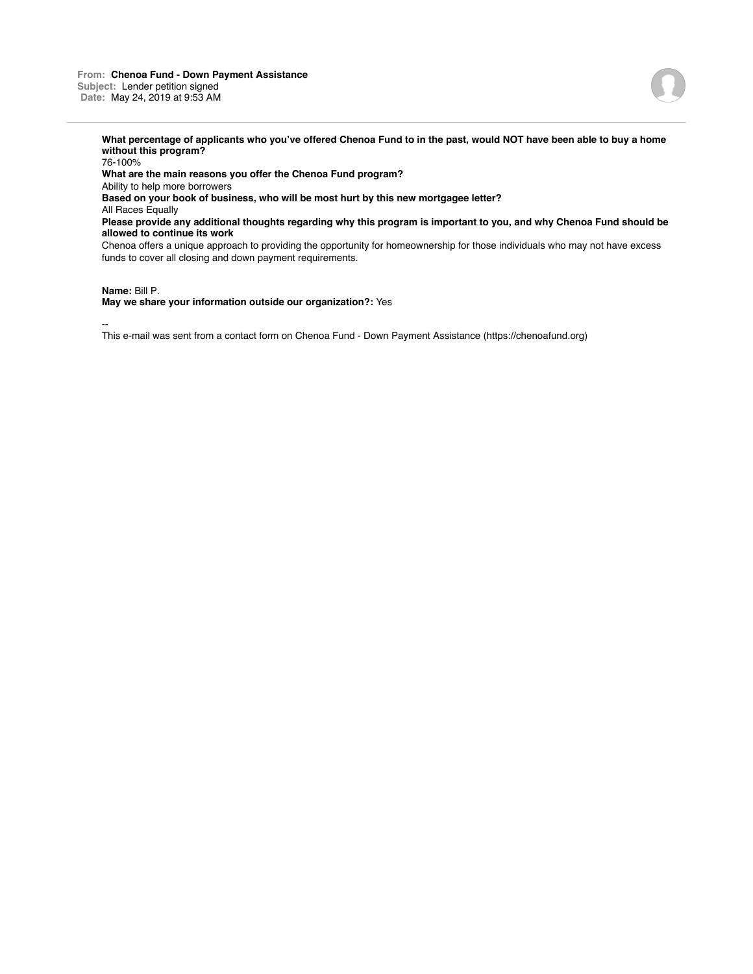**What percentage of applicants who you've offered Chenoa Fund to in the past, would NOT have been able to buy a home without this program?**

76-100% **What are the main reasons you offer the Chenoa Fund program?** Ability to help more borrowers **Based on your book of business, who will be most hurt by this new mortgagee letter?** All Races Equally **Please provide any additional thoughts regarding why this program is important to you, and why Chenoa Fund should be allowed to continue its work** Chenoa offers a unique approach to providing the opportunity for homeownership for those individuals who may not have excess funds to cover all closing and down payment requirements.

### **Name:** Bill P.

**May we share your information outside our organization?:** Yes

--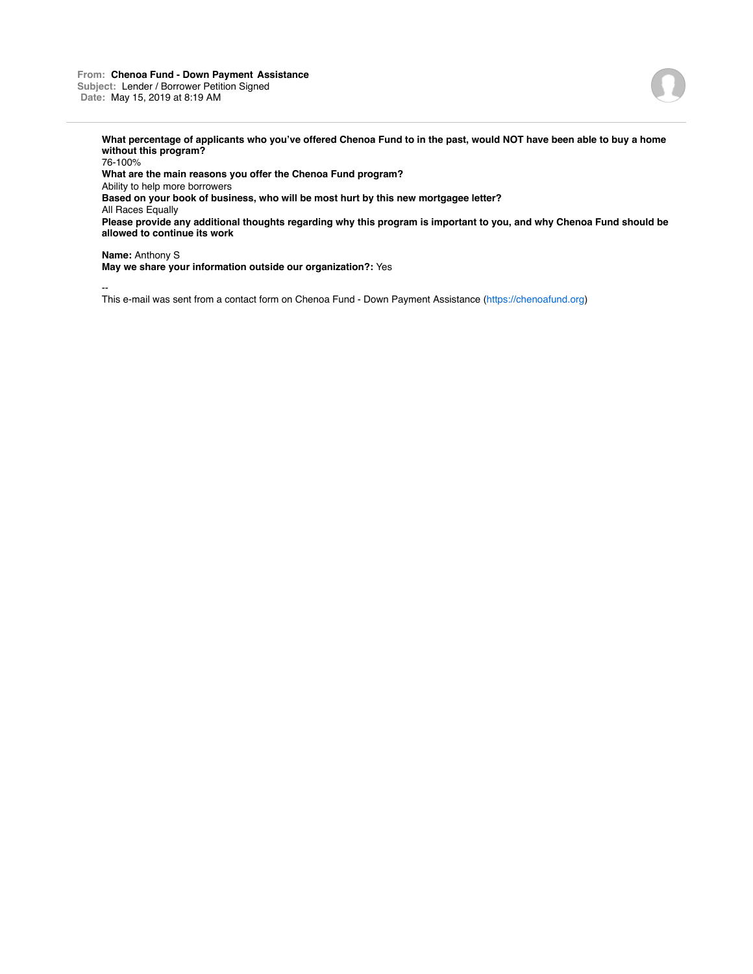### **From: Chenoa Fund - Down Payment Assistance Subject:** Lender / Borrower Petition Signed **Date:** May 15, 2019 at 8:19 AM



**What percentage of applicants who you've offered Chenoa Fund to in the past, would NOT have been able to buy a home without this program?**

76-100% **What are the main reasons you offer the Chenoa Fund program?** Ability to help more borrowers **Based on your book of business, who will be most hurt by this new mortgagee letter?** All Races Equally **Please provide any additional thoughts regarding why this program is important to you, and why Chenoa Fund should be allowed to continue its work**

**Name:** Anthony S **May we share your information outside our organization?:** Yes

--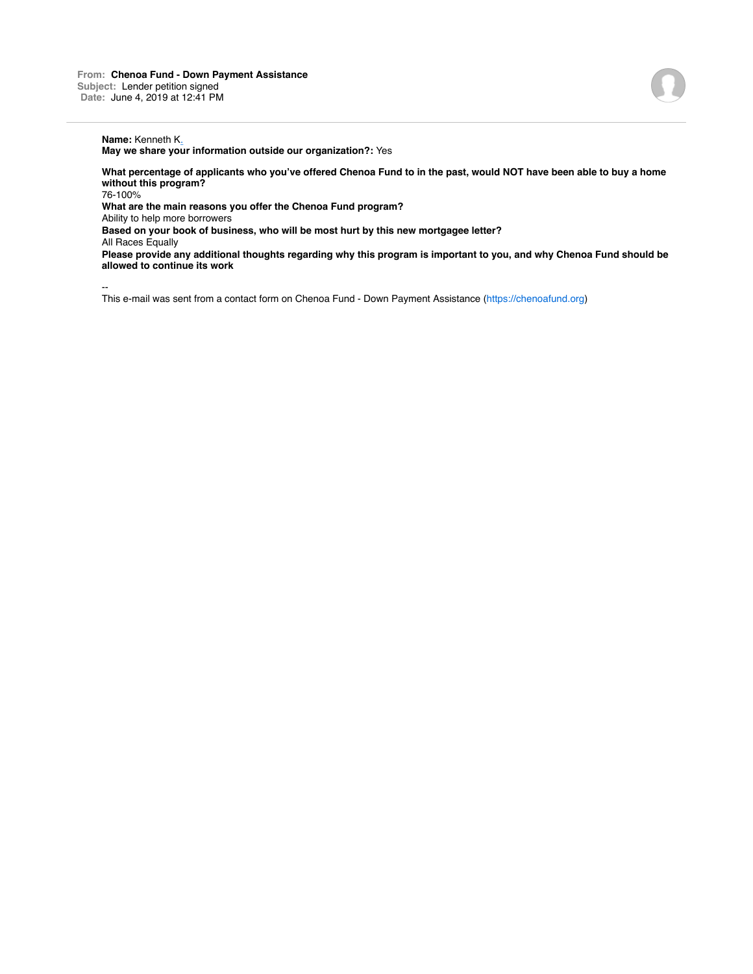# **Name:** Kenneth K.

**May we share your information outside our organization?:** Yes

**What percentage of applicants who you've offered Chenoa Fund to in the past, would NOT have been able to buy a home without this program?**

76-100%

**What are the main reasons you offer the Chenoa Fund program?**

Ability to help more borrowers

**Based on your book of business, who will be most hurt by this new mortgagee letter?**

All Races Equally

**Please provide any additional thoughts regarding why this program is important to you, and why Chenoa Fund should be allowed to continue its work**

--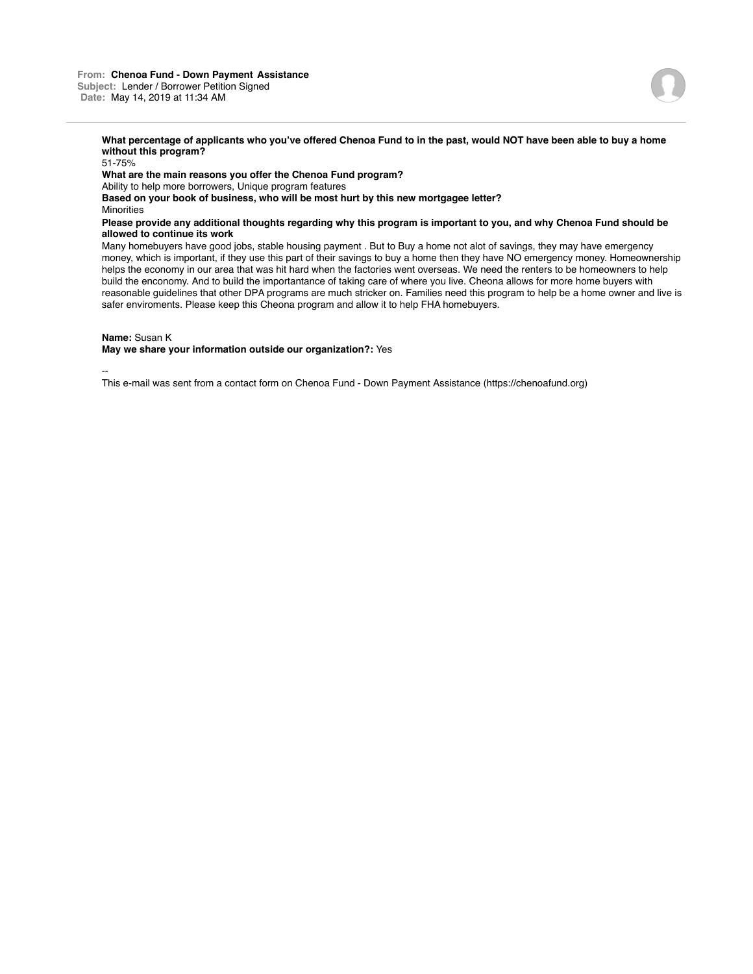**What percentage of applicants who you've offered Chenoa Fund to in the past, would NOT have been able to buy a home without this program?** 51-75%

**What are the main reasons you offer the Chenoa Fund program?** Ability to help more borrowers, Unique program features **Based on your book of business, who will be most hurt by this new mortgagee letter?** Minorities **Please provide any additional thoughts regarding why this program is important to you, and why Chenoa Fund should be allowed to continue its work**

Many homebuyers have good jobs, stable housing payment . But to Buy a home not alot of savings, they may have emergency money, which is important, if they use this part of their savings to buy a home then they have NO emergency money. Homeownership helps the economy in our area that was hit hard when the factories went overseas. We need the renters to be homeowners to help build the enconomy. And to build the importantance of taking care of where you live. Cheona allows for more home buyers with reasonable guidelines that other DPA programs are much stricker on. Families need this program to help be a home owner and live is safer enviroments. Please keep this Cheona program and allow it to help FHA homebuyers.

**Name:** Susan K

**May we share your information outside our organization?:** Yes

--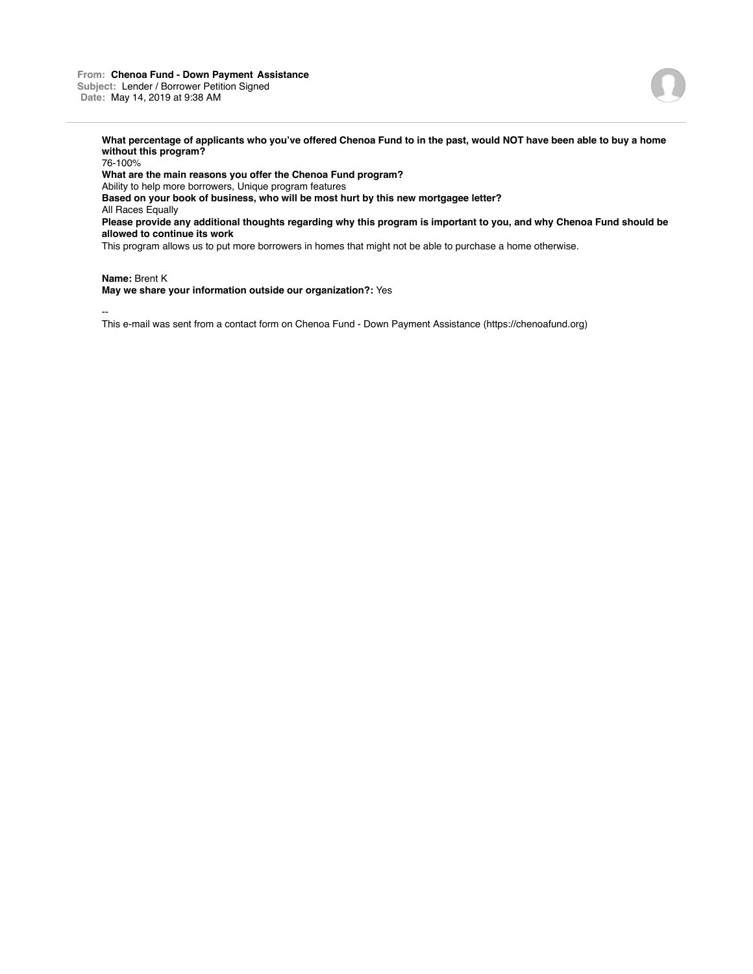

**What percentage of applicants who you've offered Chenoa Fund to in the past, would NOT have been able to buy a home without this program?**

76-100% **What are the main reasons you offer the Chenoa Fund program?** Ability to help more borrowers, Unique program features **Based on your book of business, who will be most hurt by this new mortgagee letter?** All Races Equally **Please provide any additional thoughts regarding why this program is important to you, and why Chenoa Fund should be allowed to continue its work** This program allows us to put more borrowers in homes that might not be able to purchase a home otherwise.

**Name:** Brent K

**May we share your information outside our organization?:** Yes

--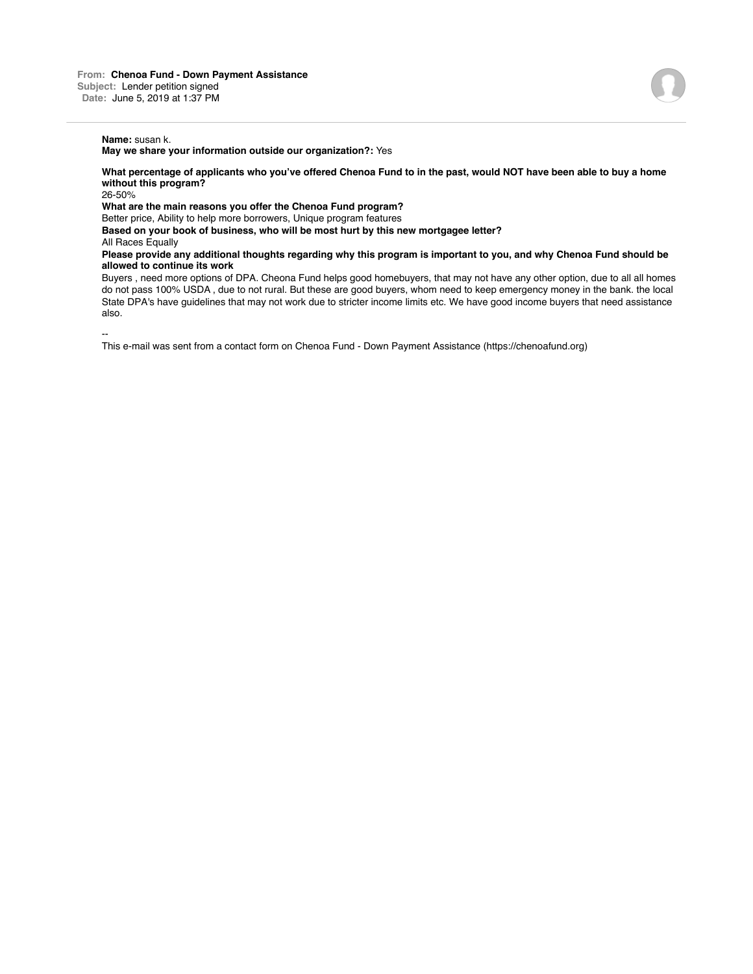## **Name:** susan k.

**May we share your information outside our organization?:** Yes

**What percentage of applicants who you've offered Chenoa Fund to in the past, would NOT have been able to buy a home without this program?**

26-50%

**What are the main reasons you offer the Chenoa Fund program?**

Better price, Ability to help more borrowers, Unique program features

**Based on your book of business, who will be most hurt by this new mortgagee letter?** All Races Equally

**Please provide any additional thoughts regarding why this program is important to you, and why Chenoa Fund should be allowed to continue its work**

Buyers , need more options of DPA. Cheona Fund helps good homebuyers, that may not have any other option, due to all all homes do not pass 100% USDA , due to not rural. But these are good buyers, whom need to keep emergency money in the bank. the local State DPA's have guidelines that may not work due to stricter income limits etc. We have good income buyers that need assistance also.

--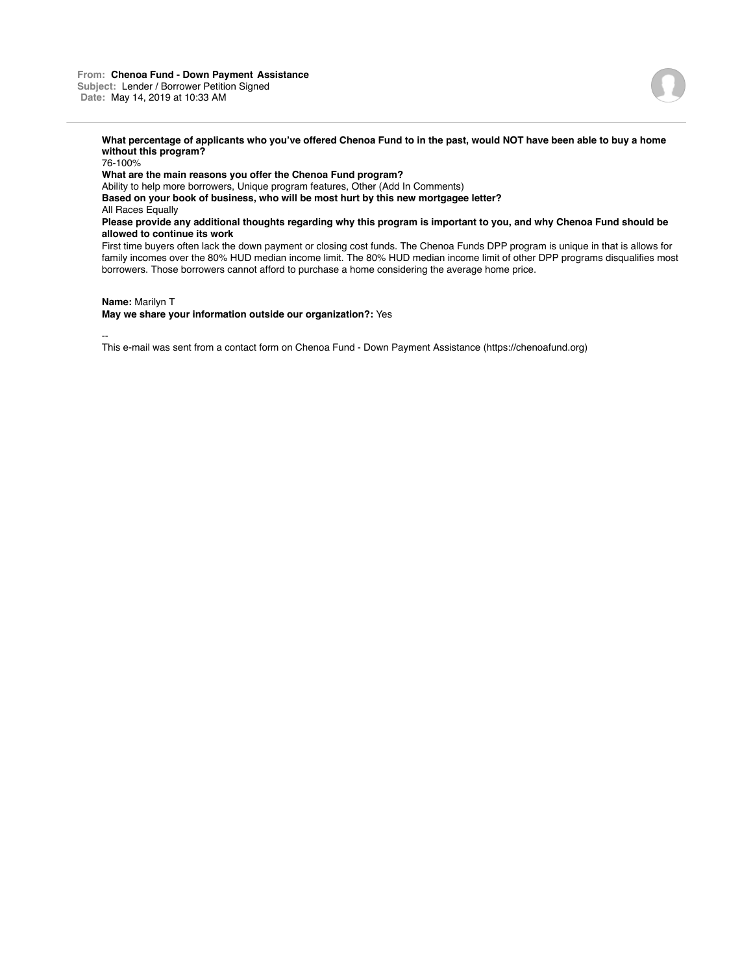

**What percentage of applicants who you've offered Chenoa Fund to in the past, would NOT have been able to buy a home without this program?**

76-100%

**What are the main reasons you offer the Chenoa Fund program?**

Ability to help more borrowers, Unique program features, Other (Add In Comments)

**Based on your book of business, who will be most hurt by this new mortgagee letter?**

All Races Equally

**Please provide any additional thoughts regarding why this program is important to you, and why Chenoa Fund should be allowed to continue its work**

First time buyers often lack the down payment or closing cost funds. The Chenoa Funds DPP program is unique in that is allows for family incomes over the 80% HUD median income limit. The 80% HUD median income limit of other DPP programs disqualifies most borrowers. Those borrowers cannot afford to purchase a home considering the average home price.

**Name:** Marilyn T

**May we share your information outside our organization?:** Yes

--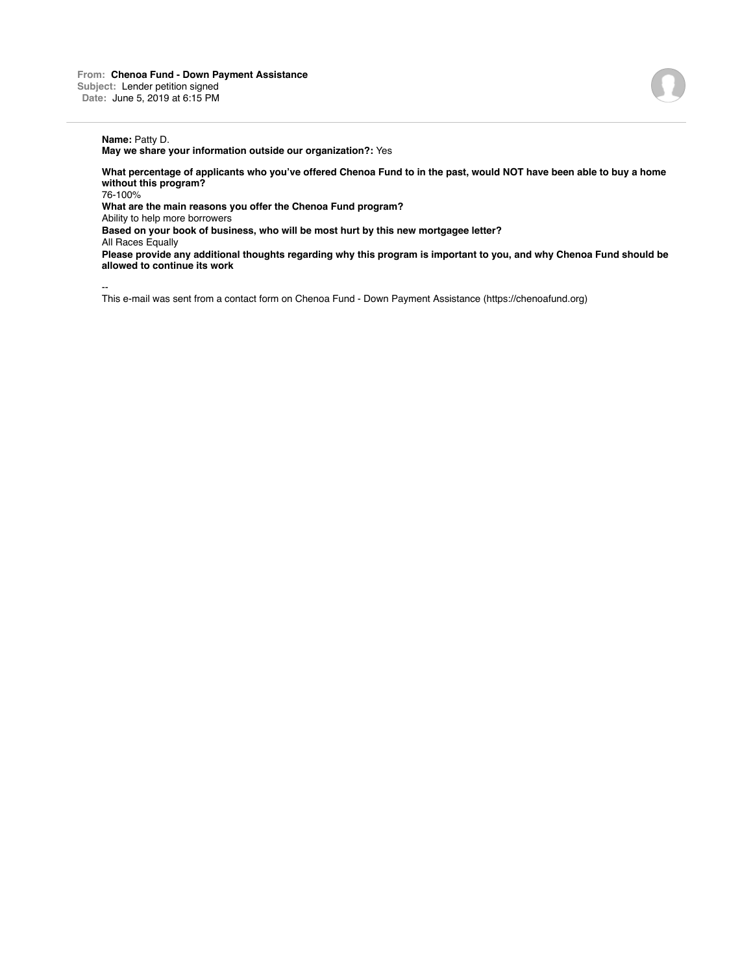# **Name:** Patty D.

**May we share your information outside our organization?:** Yes

**What percentage of applicants who you've offered Chenoa Fund to in the past, would NOT have been able to buy a home without this program?**

76-100%

**What are the main reasons you offer the Chenoa Fund program?**

Ability to help more borrowers

**Based on your book of business, who will be most hurt by this new mortgagee letter?**

All Races Equally

**Please provide any additional thoughts regarding why this program is important to you, and why Chenoa Fund should be allowed to continue its work**

--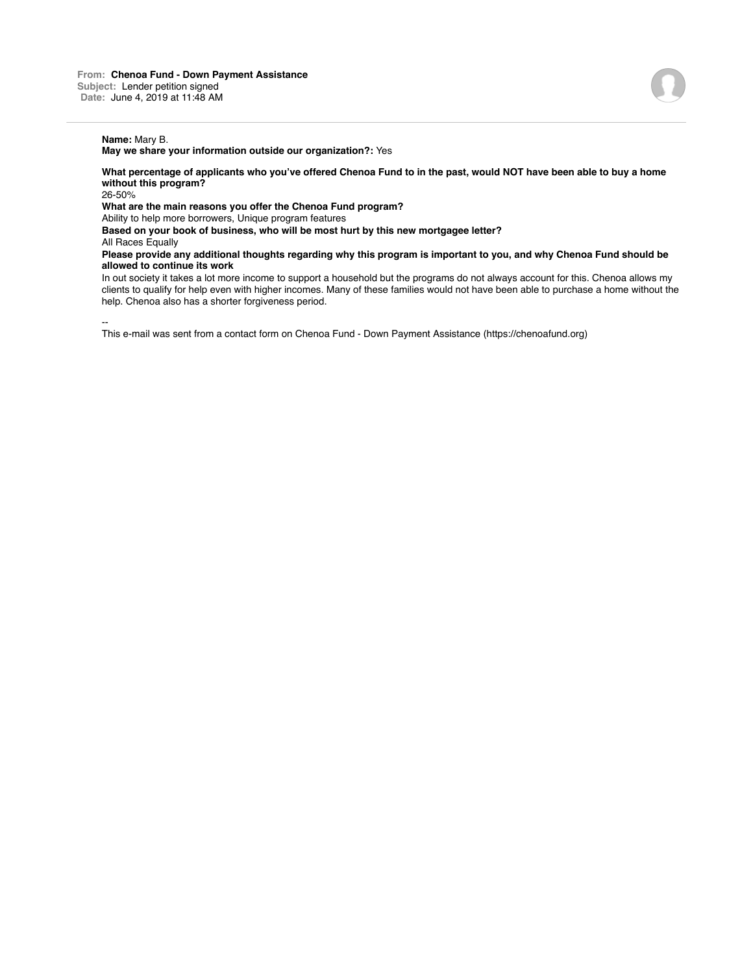# **Name:** Mary B.

**May we share your information outside our organization?:** Yes

**What percentage of applicants who you've offered Chenoa Fund to in the past, would NOT have been able to buy a home without this program?**

26-50%

**What are the main reasons you offer the Chenoa Fund program?**

Ability to help more borrowers, Unique program features

**Based on your book of business, who will be most hurt by this new mortgagee letter?**

All Races Equally

**Please provide any additional thoughts regarding why this program is important to you, and why Chenoa Fund should be allowed to continue its work**

In out society it takes a lot more income to support a household but the programs do not always account for this. Chenoa allows my clients to qualify for help even with higher incomes. Many of these families would not have been able to purchase a home without the help. Chenoa also has a shorter forgiveness period.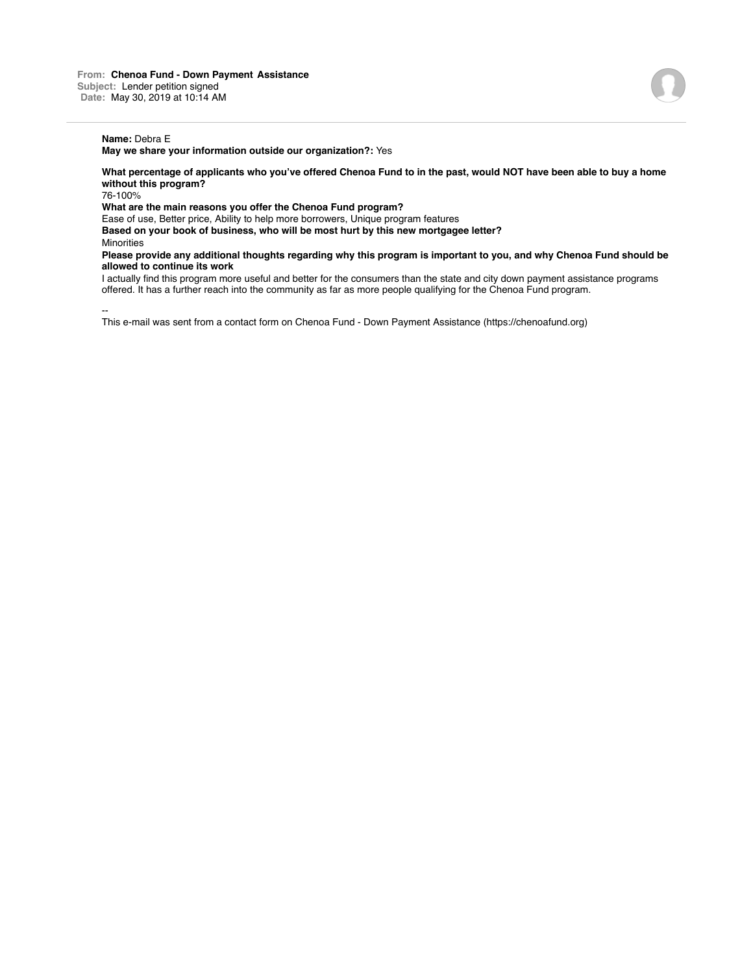### **Name:** Debra E

**May we share your information outside our organization?:** Yes

**What percentage of applicants who you've offered Chenoa Fund to in the past, would NOT have been able to buy a home without this program?**

76-100%

**What are the main reasons you offer the Chenoa Fund program?**

Ease of use, Better price, Ability to help more borrowers, Unique program features

**Based on your book of business, who will be most hurt by this new mortgagee letter?**

**Minorities** 

**Please provide any additional thoughts regarding why this program is important to you, and why Chenoa Fund should be allowed to continue its work**

I actually find this program more useful and better for the consumers than the state and city down payment assistance programs offered. It has a further reach into the community as far as more people qualifying for the Chenoa Fund program.

--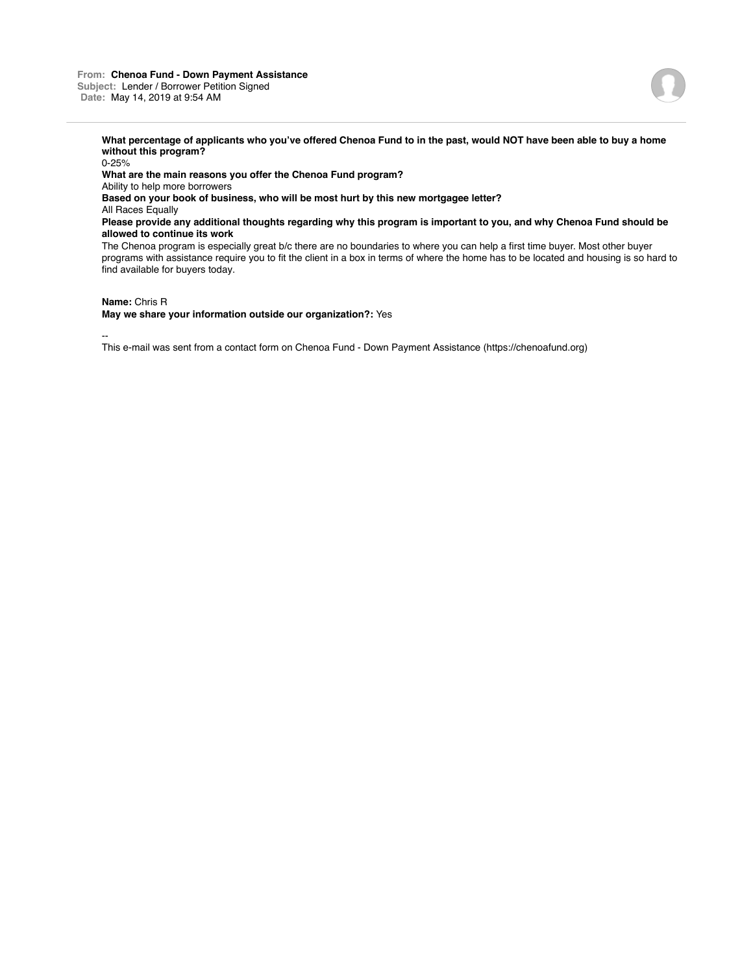### **From: Chenoa Fund - Down Payment Assistance Subject:** Lender / Borrower Petition Signed **Date:** May 14, 2019 at 9:54 AM

**What percentage of applicants who you've offered Chenoa Fund to in the past, would NOT have been able to buy a home without this program?**

0-25% **What are the main reasons you offer the Chenoa Fund program?** Ability to help more borrowers **Based on your book of business, who will be most hurt by this new mortgagee letter?** All Races Equally **Please provide any additional thoughts regarding why this program is important to you, and why Chenoa Fund should be allowed to continue its work** The Chenoa program is especially great b/c there are no boundaries to where you can help a first time buyer. Most other buyer programs with assistance require you to fit the client in a box in terms of where the home has to be located and housing is so hard to find available for buyers today.

**Name:** Chris R

**May we share your information outside our organization?:** Yes

--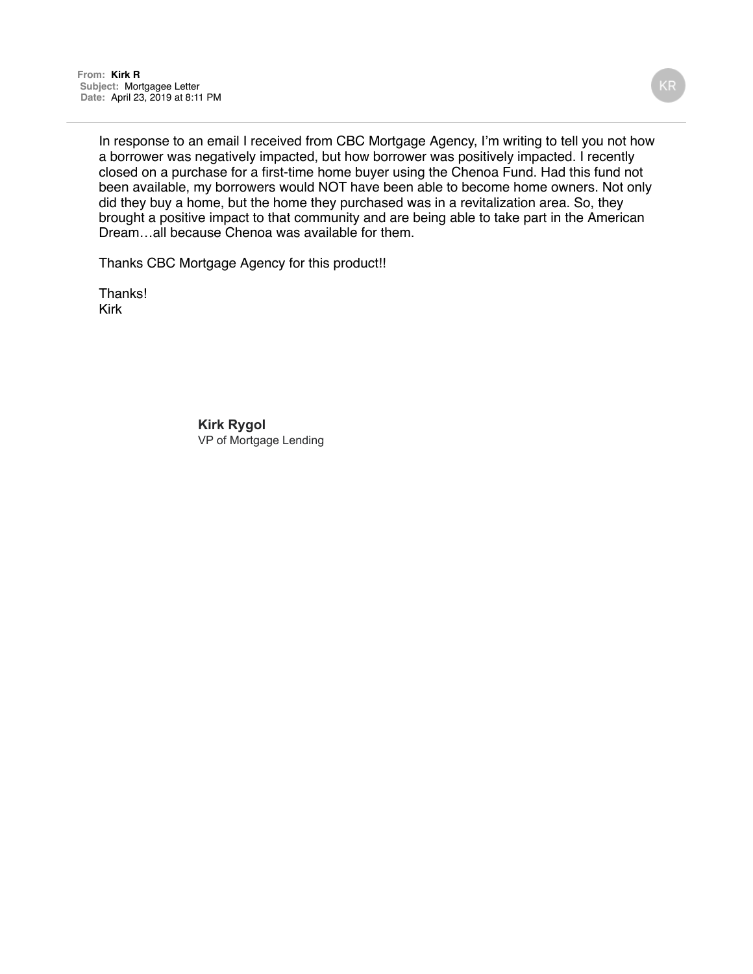In response to an email I received from CBC Mortgage Agency, I'm writing to tell you not how a borrower was negatively impacted, but how borrower was positively impacted. I recently closed on a purchase for a first-time home buyer using the Chenoa Fund. Had this fund not been available, my borrowers would NOT have been able to become home owners. Not only did they buy a home, but the home they purchased was in a revitalization area. So, they brought a positive impact to that community and are being able to take part in the American Dream…all because Chenoa was available for them.

Thanks CBC Mortgage Agency for this product!!

Thanks! Kirk

> **Kirk Rygol** VP of Mortgage Lending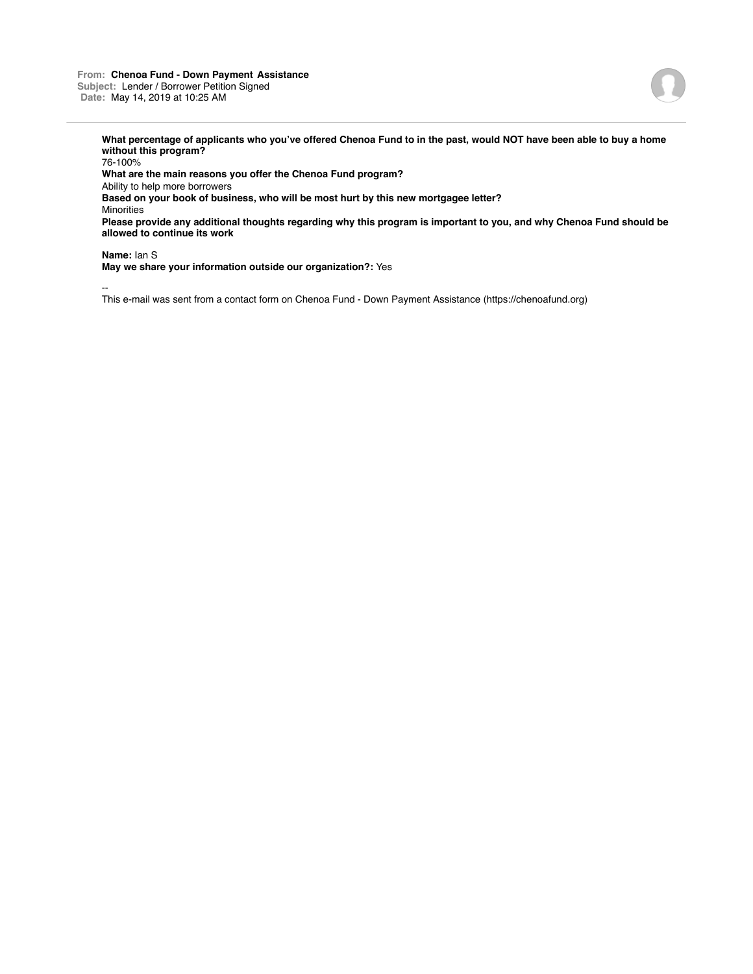### **From: Chenoa Fund - Down Payment Assistance Subject:** Lender / Borrower Petition Signed **Date:** May 14, 2019 at 10:25 AM



**What percentage of applicants who you've offered Chenoa Fund to in the past, would NOT have been able to buy a home without this program?**

76-100% **What are the main reasons you offer the Chenoa Fund program?** Ability to help more borrowers **Based on your book of business, who will be most hurt by this new mortgagee letter?** Minorities **Please provide any additional thoughts regarding why this program is important to you, and why Chenoa Fund should be allowed to continue its work**

**Name:** Ian S

**May we share your information outside our organization?:** Yes

--